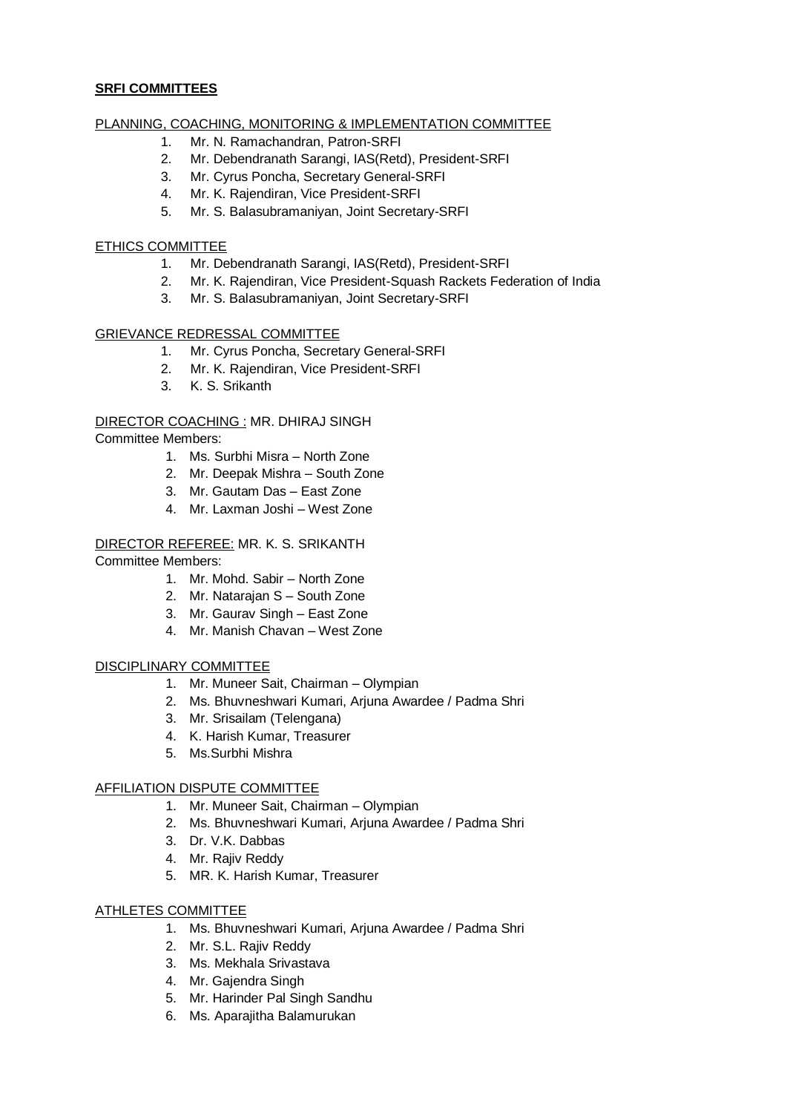#### **SRFI COMMITTEES**

#### PLANNING, COACHING, MONITORING & IMPLEMENTATION COMMITTEE

- 1. Mr. N. Ramachandran, Patron-SRFI
- 2. Mr. Debendranath Sarangi, IAS(Retd), President-SRFI
- 3. Mr. Cyrus Poncha, Secretary General-SRFI
- 4. Mr. K. Rajendiran, Vice President-SRFI
- 5. Mr. S. Balasubramaniyan, Joint Secretary-SRFI

#### ETHICS COMMITTEE

- 1. Mr. Debendranath Sarangi, IAS(Retd), President-SRFI
- 2. Mr. K. Rajendiran, Vice President-Squash Rackets Federation of India
- 3. Mr. S. Balasubramaniyan, Joint Secretary-SRFI

### GRIEVANCE REDRESSAL COMMITTEE

- 1. Mr. Cyrus Poncha, Secretary General-SRFI
- 2. Mr. K. Rajendiran, Vice President-SRFI
- 3. K. S. Srikanth

#### DIRECTOR COACHING : MR. DHIRAJ SINGH Committee Members:

- 1. Ms. Surbhi Misra North Zone
- 2. Mr. Deepak Mishra South Zone
- 3. Mr. Gautam Das East Zone
- 4. Mr. Laxman Joshi West Zone

# DIRECTOR REFEREE: MR. K. S. SRIKANTH

Committee Members:

- 1. Mr. Mohd. Sabir North Zone
- 2. Mr. Natarajan S South Zone
- 3. Mr. Gaurav Singh East Zone
- 4. Mr. Manish Chavan West Zone

#### DISCIPLINARY COMMITTEE

- 1. Mr. Muneer Sait, Chairman Olympian
- 2. Ms. Bhuvneshwari Kumari, Arjuna Awardee / Padma Shri
- 3. Mr. Srisailam (Telengana)
- 4. K. Harish Kumar, Treasurer
- 5. Ms.Surbhi Mishra

#### AFFILIATION DISPUTE COMMITTEE

- 1. Mr. Muneer Sait, Chairman Olympian
- 2. Ms. Bhuvneshwari Kumari, Arjuna Awardee / Padma Shri
- 3. Dr. V.K. Dabbas
- 4. Mr. Rajiv Reddy
- 5. MR. K. Harish Kumar, Treasurer

#### ATHLETES COMMITTEE

- 1. Ms. Bhuvneshwari Kumari, Arjuna Awardee / Padma Shri
- 2. Mr. S.L. Rajiv Reddy
- 3. Ms. Mekhala Srivastava
- 4. Mr. Gajendra Singh
- 5. Mr. Harinder Pal Singh Sandhu
- 6. Ms. Aparajitha Balamurukan